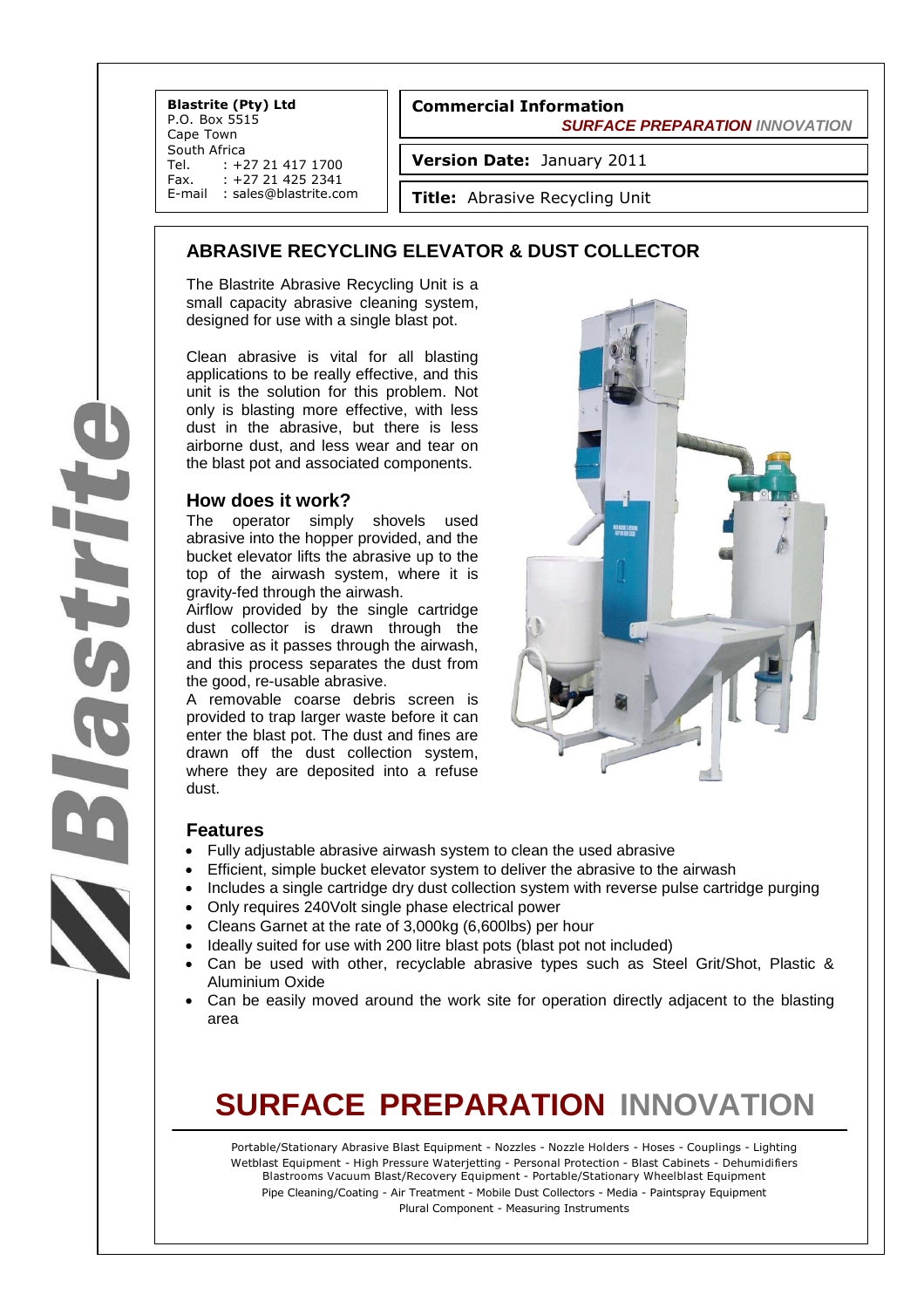**Blastrite (Pty) Ltd** P.O. Box 5515 Cape Town South Africa Tel. : +27 21 417 1700<br>Fax. : +27 21 425 2341 +27 21 425 2341 E-mail : sales@blastrite.com

#### **Commercial Information**

 *SURFACE PREPARATION INNOVATION*

**Version Date:** January 2011

**Title:** Abrasive Recycling Unit

### **ABRASIVE RECYCLING ELEVATOR & DUST COLLECTOR**

The Blastrite Abrasive Recycling Unit is a small capacity abrasive cleaning system, designed for use with a single blast pot.

Clean abrasive is vital for all blasting applications to be really effective, and this unit is the solution for this problem. Not only is blasting more effective, with less dust in the abrasive, but there is less airborne dust, and less wear and tear on the blast pot and associated components.

#### **How does it work?**

The operator simply shovels used abrasive into the hopper provided, and the bucket elevator lifts the abrasive up to the top of the airwash system, where it is gravity-fed through the airwash.

Airflow provided by the single cartridge dust collector is drawn through the abrasive as it passes through the airwash, and this process separates the dust from the good, re-usable abrasive.

A removable coarse debris screen is provided to trap larger waste before it can enter the blast pot. The dust and fines are drawn off the dust collection system, where they are deposited into a refuse dust.

## **Features**

- Fully adjustable abrasive airwash system to clean the used abrasive
- Efficient, simple bucket elevator system to deliver the abrasive to the airwash
- Includes a single cartridge dry dust collection system with reverse pulse cartridge purging
- Only requires 240Volt single phase electrical power
- Cleans Garnet at the rate of 3,000kg (6,600lbs) per hour
- Ideally suited for use with 200 litre blast pots (blast pot not included)
- Can be used with other, recyclable abrasive types such as Steel Grit/Shot, Plastic & Aluminium Oxide
- Can be easily moved around the work site for operation directly adjacent to the blasting area

## **SURFACE PREPARATION INNOVATION**

Portable/Stationary Abrasive Blast Equipment - Nozzles - Nozzle Holders - Hoses - Couplings - Lighting Wetblast Equipment - High Pressure Waterjetting - Personal Protection - Blast Cabinets - Dehumidifiers Blastrooms Vacuum Blast/Recovery Equipment - Portable/Stationary Wheelblast Equipment Pipe Cleaning/Coating - Air Treatment - Mobile Dust Collectors - Media - Paintspray Equipment Plural Component - Measuring Instruments